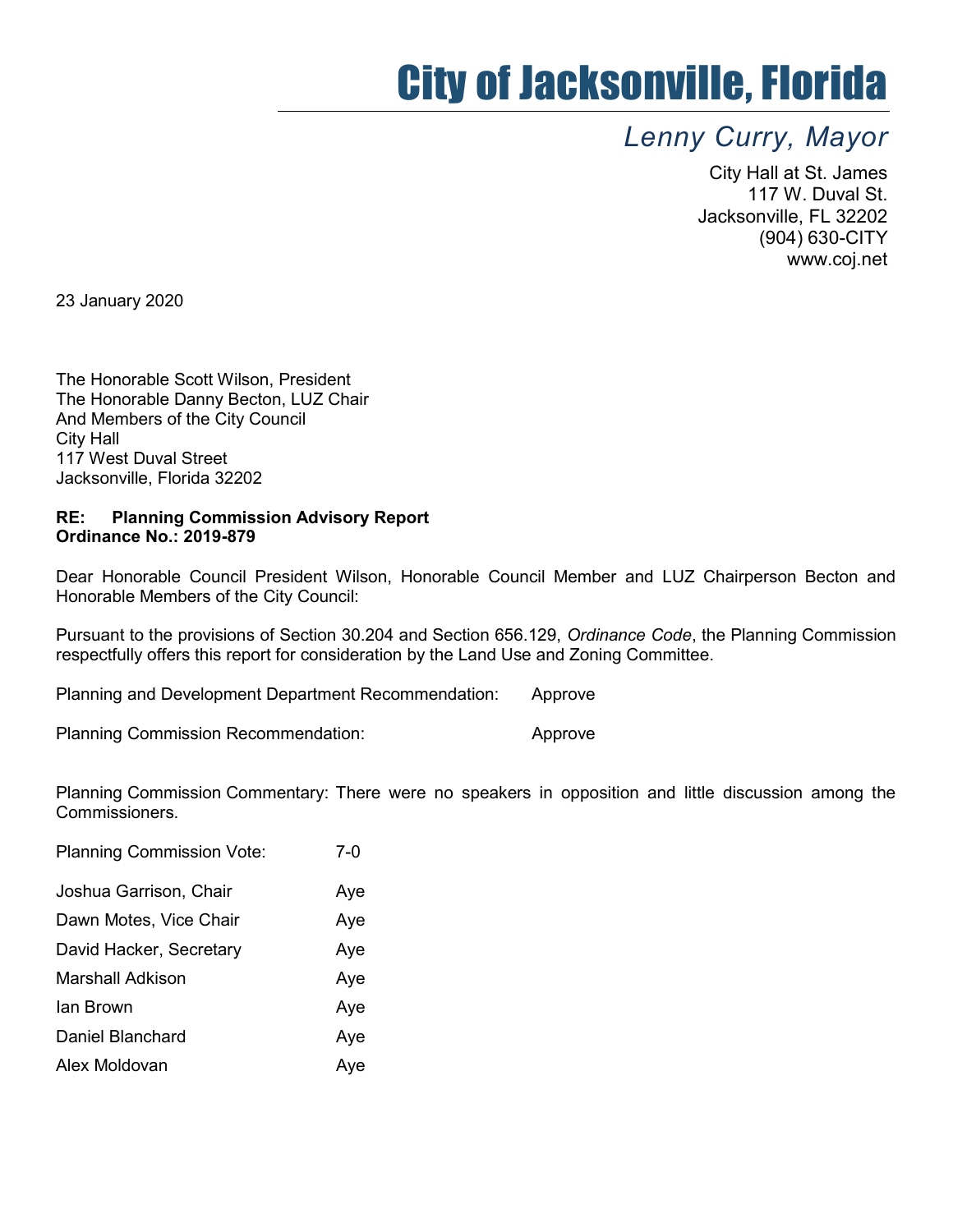## City of Jacksonville, Florida

## Lenny Curry, Mayor

City Hall at St. James 117 W. Duval St. Jacksonville, FL 32202 (904) 630-CITY www.coj.net

23 January 2020

The Honorable Scott Wilson, President The Honorable Danny Becton, LUZ Chair And Members of the City Council City Hall 117 West Duval Street Jacksonville, Florida 32202

## RE: Planning Commission Advisory Report Ordinance No.: 2019-879

Dear Honorable Council President Wilson, Honorable Council Member and LUZ Chairperson Becton and Honorable Members of the City Council:

Pursuant to the provisions of Section 30.204 and Section 656.129, Ordinance Code, the Planning Commission respectfully offers this report for consideration by the Land Use and Zoning Committee.

Planning and Development Department Recommendation: Approve

Planning Commission Recommendation: The Approve

Planning Commission Commentary: There were no speakers in opposition and little discussion among the Commissioners.

| <b>Planning Commission Vote:</b> | 7-0 |
|----------------------------------|-----|
| Joshua Garrison, Chair           | Aye |
| Dawn Motes, Vice Chair           | Aye |
| David Hacker, Secretary          | Aye |
| <b>Marshall Adkison</b>          | Aye |
| lan Brown                        | Aye |
| Daniel Blanchard                 | Aye |
| Alex Moldovan                    | Aye |
|                                  |     |